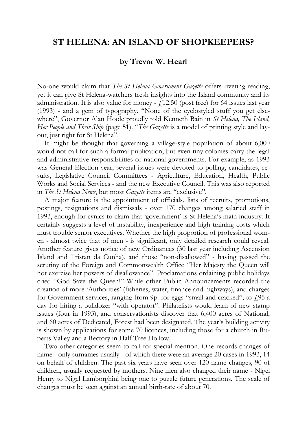## **ST HELENA: AN ISLAND OF SHOPKEEPERS?**

## **by Trevor W. Hearl**

No-one would claim that *The St Helena Government Gazette* offers riveting reading, yet it can give St Helena-watchers fresh insights into the Island community and its administration. It is also value for money -  $f(12.50$  (post free) for 64 issues last year (1993) - and a gem of typography. "None of the cyclostyled stuff you get elsewhere", Governor Alan Hoole proudly told Kenneth Bain in *St Helena, The Island, Her People and Their Ship* (page 51). "*The Gazette* is a model of printing style and layout, just right for St Helena".

It might be thought that governing a village-style population of about 6,000 would not call for such a formal publication, but even tiny colonies carry the legal and administrative responsibilities of national governments. For example, as 1993 was General Election year, several issues were devoted to polling, candidates, results, Legislative Council Committees - Agriculture, Education, Health, Public Works and Social Services - and the new Executive Council. This was also reported in *The St Helena News*, but most *Gazette* items are "exclusive".

A major feature is the appointment of officials, lists of recruits, promotions, postings, resignations and dismissals - over 170 changes among salaried staff in 1993, enough for cynics to claim that 'government' is St Helena's main industry. It certainly suggests a level of instability, inexperience and high training costs which must trouble senior executives. Whether the high proportion of professional women - almost twice that of men - is significant, only detailed research could reveal. Another feature gives notice of new Ordinances (30 last year including Ascension Island and Tristan da Cunha), and those "non-disallowed" - having passed the scrutiny of the Foreign and Commonwealth Office "Her Majesty the Queen will not exercise her powers of disallowance". Proclamations ordaining public holidays cried "God Save the Queen!" While other Public Announcements recorded the creation of more 'Authorities' (fisheries, water, finance and highways), and charges for Government services, ranging from 9p. for eggs "small and cracked", to  $\angle$ 95 a day for hiring a bulldozer "with operator". Philatelists would learn of new stamp issues (four in 1993), and conservationists discover that 6,400 acres of National, and 60 acres of Dedicated, Forest had been designated. The year's building activity is shown by applications for some 70 licences, including those for a church in Ruperts Valley and a Rectory in Half Tree Hollow.

Two other categories seem to call for special mention. One records changes of name - only surnames usually - of which there were an average 20 cases in 1993, 14 on behalf of children. The past six years have seen over 120 name changes, 90 of children, usually requested by mothers. Nine men also changed their name - Nigel Henry to Nigel Lamborghini being one to puzzle future generations. The scale of changes must be seen against an annual birth-rate of about 70.